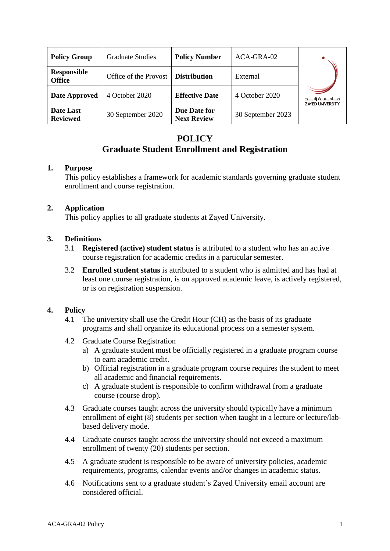| <b>Policy Group</b>          | <b>Graduate Studies</b> | <b>Policy Number</b>               | ACA-GRA-02        |                                                        |
|------------------------------|-------------------------|------------------------------------|-------------------|--------------------------------------------------------|
| Responsible<br><b>Office</b> | Office of the Provost   | <b>Distribution</b>                | External          |                                                        |
| <b>Date Approved</b>         | 4 October 2020          | <b>Effective Date</b>              | 4 October 2020    | جــــامــــعــــة زايـــــد<br><b>ZAYED UNIVERSITY</b> |
| Date Last<br><b>Reviewed</b> | 30 September 2020       | Due Date for<br><b>Next Review</b> | 30 September 2023 |                                                        |

# **POLICY Graduate Student Enrollment and Registration**

## **1. Purpose**

This policy establishes a framework for academic standards governing graduate student enrollment and course registration.

## **2. Application**

This policy applies to all graduate students at Zayed University.

## **3. Definitions**

- 3.1 **Registered (active) student status** is attributed to a student who has an active course registration for academic credits in a particular semester.
- 3.2 **Enrolled student status** is attributed to a student who is admitted and has had at least one course registration, is on approved academic leave, is actively registered, or is on registration suspension.

## **4. Policy**

- 4.1 The university shall use the Credit Hour (CH) as the basis of its graduate programs and shall organize its educational process on a semester system.
- 4.2 Graduate Course Registration
	- a) A graduate student must be officially registered in a graduate program course to earn academic credit.
	- b) Official registration in a graduate program course requires the student to meet all academic and financial requirements.
	- c) A graduate student is responsible to confirm withdrawal from a graduate course (course drop).
- 4.3 Graduate courses taught across the university should typically have a minimum enrollment of eight (8) students per section when taught in a lecture or lecture/labbased delivery mode.
- 4.4 Graduate courses taught across the university should not exceed a maximum enrollment of twenty (20) students per section.
- 4.5 A graduate student is responsible to be aware of university policies, academic requirements, programs, calendar events and/or changes in academic status.
- 4.6 Notifications sent to a graduate student's Zayed University email account are considered official.